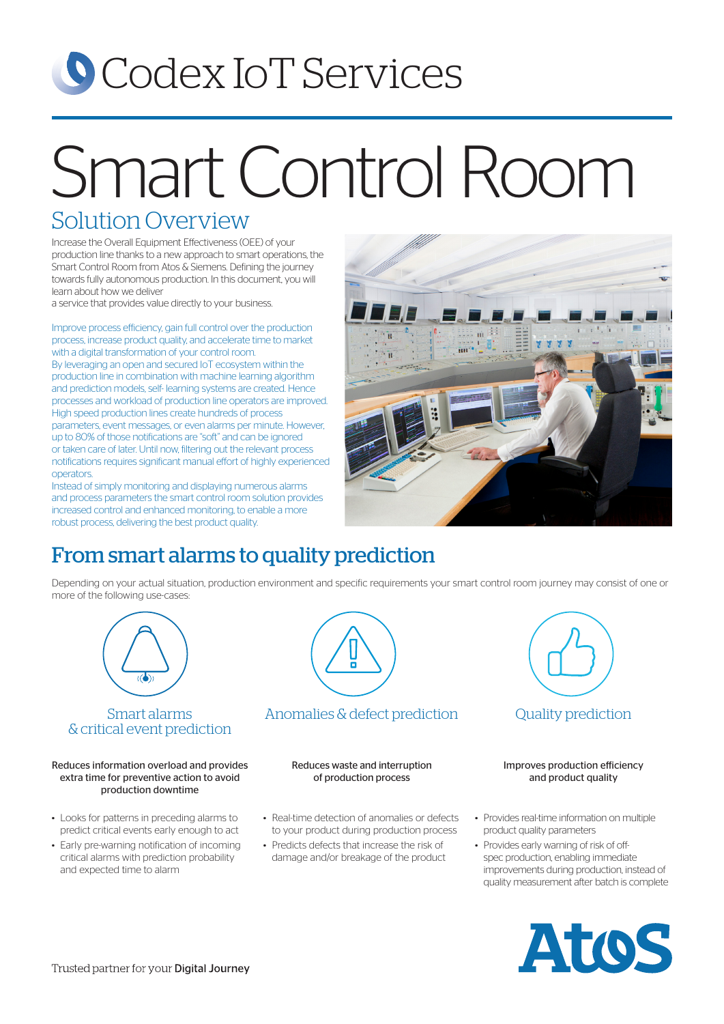# **O** Codex IoT Services

# Smart Control Room

### Solution Overview

Increase the Overall Equipment Effectiveness (OEE) of your production line thanks to a new approach to smart operations, the Smart Control Room from Atos & Siemens. Defining the journey towards fully autonomous production. In this document, you will learn about how we deliver

a service that provides value directly to your business.

Improve process efficiency, gain full control over the production process, increase product quality, and accelerate time to market with a digital transformation of your control room.

By leveraging an open and secured IoT ecosystem within the production line in combination with machine learning algorithm and prediction models, self- learning systems are created. Hence processes and workload of production line operators are improved. High speed production lines create hundreds of process parameters, event messages, or even alarms per minute. However, up to 80% of those notifications are "soft" and can be ignored or taken care of later. Until now, filtering out the relevant process notifications requires significant manual effort of highly experienced operators.

Instead of simply monitoring and displaying numerous alarms and process parameters the smart control room solution provides increased control and enhanced monitoring, to enable a more robust process, delivering the best product quality.



# From smart alarms to quality prediction

Depending on your actual situation, production environment and specific requirements your smart control room journey may consist of one or more of the following use-cases:



#### Smart alarms & critical event prediction

Reduces information overload and provides extra time for preventive action to avoid production downtime

- Looks for patterns in preceding alarms to predict critical events early enough to act
- Early pre-warning notification of incoming critical alarms with prediction probability and expected time to alarm



Anomalies & defect prediction Cuality prediction

Reduces waste and interruption of production process

- Real-time detection of anomalies or defects to your product during production process
- Predicts defects that increase the risk of damage and/or breakage of the product



#### Improves production efficiency and product quality

- Provides real-time information on multiple product quality parameters
- Provides early warning of risk of offspec production, enabling immediate improvements during production, instead of quality measurement after batch is complete